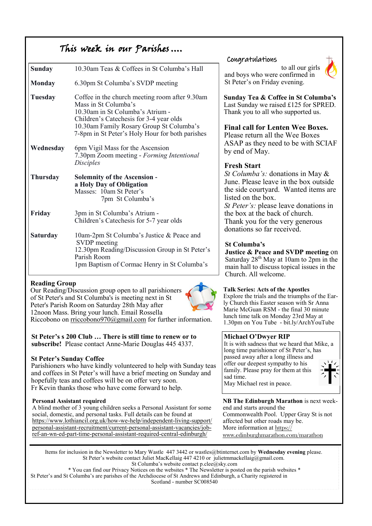# This week in our Parishes ….

| <b>Sunday</b>   | 10.30am Teas & Coffees in St Columba's Hall                                                                                                                                                                                                          |  |  |
|-----------------|------------------------------------------------------------------------------------------------------------------------------------------------------------------------------------------------------------------------------------------------------|--|--|
| <b>Monday</b>   | 6.30pm St Columba's SVDP meeting                                                                                                                                                                                                                     |  |  |
| Tuesday         | Coffee in the church meeting room after 9.30am<br>Mass in St Columba's<br>10.30am in St Columba's Atrium -<br>Children's Catechesis for 3-4 year olds<br>10.30am Family Rosary Group St Columba's<br>7-8pm in St Peter's Holy Hour for both parishes |  |  |
| Wednesday       | 6pm Vigil Mass for the Ascension<br>7.30pm Zoom meeting - Forming Intentional<br><b>Disciples</b>                                                                                                                                                    |  |  |
| <b>Thursday</b> | <b>Solemnity of the Ascension -</b><br>a Holy Day of Obligation<br>Masses: 10am St Peter's<br>7pm St Columba's                                                                                                                                       |  |  |
| Friday          | 3pm in St Columba's Atrium -<br>Children's Catechesis for 5-7 year olds                                                                                                                                                                              |  |  |
| <b>Saturday</b> | 10am-2pm St Columba's Justice & Peace and<br>SVDP meeting<br>12.30pm Reading/Discussion Group in St Peter's<br>Parish Room<br>1pm Baptism of Cormac Henry in St Columba's                                                                            |  |  |

#### **Reading Group**

Our Reading/Discussion group open to all parishioners of St Peter's and St Columba's is meeting next in St Peter's Parish Room on Saturday 28th May after 12noon Mass. Bring your lunch. Email Rossella Riccobono on [rriccobono970@gmail.com](mailto:rriccobono970@gmail.com) for further information.

**St Peter's s 200 Club … There is still time to renew or to subscribe!** Please contact Anne-Marie Douglas 445 4337.

#### **St Peter's Sunday Coffee**

Parishioners who have kindly volunteered to help with Sunday teas and coffees in St Peter's will have a brief meeting on Sunday and hopefully teas and coffees will be on offer very soon. Fr Kevin thanks those who have come forward to help.

#### **Personal Assistant required**

A blind mother of 3 young children seeks a Personal Assistant for some social, domestic, and personal tasks. Full details can be found at [https://www.lothiancil.org.uk/how-we-help/independent-living-support/](https://www.lothiancil.org.uk/how-we-help/independent-living-support/personal-assistant-recruitment/current-personal-assistant-vacancies/job-ref-an-wn-ed-part-time-personal-assistant-required-central-edinburgh/) [personal-assistant-recruitment/current-personal-assistant-vacancies/job](https://www.lothiancil.org.uk/how-we-help/independent-living-support/personal-assistant-recruitment/current-personal-assistant-vacancies/job-ref-an-wn-ed-part-time-personal-assistant-required-central-edinburgh/)[ref-an-wn-ed-part-time-personal-assistant-required-central-edinburgh/](https://www.lothiancil.org.uk/how-we-help/independent-living-support/personal-assistant-recruitment/current-personal-assistant-vacancies/job-ref-an-wn-ed-part-time-personal-assistant-required-central-edinburgh/)

#### Congratulations

to all our girls and boys who were confirmed in St Peter's on Friday evening.



**Sunday Tea & Coffee in St Columba's**  Last Sunday we raised £125 for SPRED. Thank you to all who supported us.

**Final call for Lenten Wee Boxes.**  Please return all the Wee Boxes ASAP as they need to be with SCIAF by end of May.

### **Fresh Start**

*St Columba's:* donations in May & June. Please leave in the box outside the side courtyard. Wanted items are listed on the box.

*St Peter's:* please leave donations in the box at the back of church. Thank you for the very generous donations so far received.

### **St Columba's**

**Justice & Peace and SVDP meeting** on Saturday  $28^{th}$  May at 10am to 2pm in the main hall to discuss topical issues in the Church. All welcome.

#### **Talk Series: Acts of the Apostles**

Explore the trials and the triumphs of the Early Church this Easter season with Sr Anna Marie McGuan RSM - the final 30 minute lunch time talk on Monday 23rd May at 1.30pm on You Tube - bit.ly/ArchYouTube

#### **Michael O'Dwyer RIP**

It is with sadness that we heard that Mike, a long time parishioner of St Peter's, has passed away after a long illness and offer our deepest sympathy to his family. Please pray for them at this sad time. May Michael rest in peace.



**NB The Edinburgh Marathon** is next weekend and starts around the Commonwealth Pool. Upper Gray St is not affected but other roads may be. More information at [https://](https://www.edinburghmarathon.com/marathon) [www.edinburghmarathon.com/marathon](https://www.edinburghmarathon.com/marathon)

Items for inclusion in the Newsletter to Mary Wastle 447 3442 or wastles@btinternet.com by **Wednesday evening** please. St Peter's website contact Juliet MacKellaig 447 4210 or [julietmmackellaig@gmail.com.](mailto:julietmmackellaig@gmail.com) St Columba's website contact p.clee@sky.com

\* You can find our Privacy Notices on the websites \* The Newsletter is posted on the parish websites \* St Peter's and St Columba's are parishes of the Archdiocese of St Andrews and Edinburgh, a Charity registered in Scotland - number SC008540